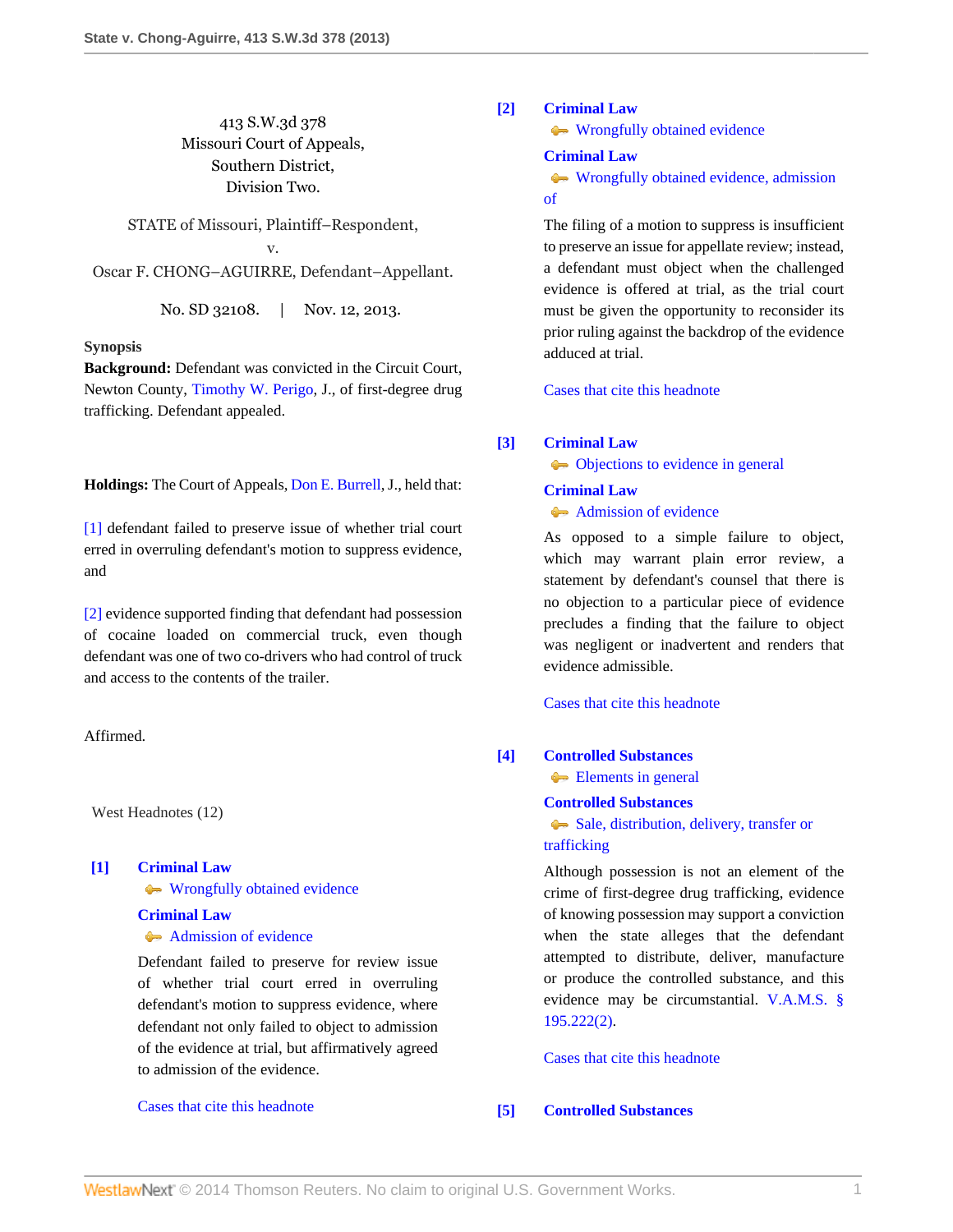# 413 S.W.3d 378 Missouri Court of Appeals, Southern District, Division Two.

STATE of Missouri, Plaintiff–Respondent, v. Oscar F. CHONG–AGUIRRE, Defendant–Appellant.

No. SD 32108. | Nov. 12, 2013.

## **Synopsis**

**Background:** Defendant was convicted in the Circuit Court, Newton County, [Timothy W. Perigo](http://www.westlaw.com/Link/Document/FullText?findType=h&pubNum=176284&cite=0156719501&originatingDoc=I64deda7d4c0911e3a341ea44e5e1f25f&refType=RQ&originationContext=document&vr=3.0&rs=cblt1.0&transitionType=DocumentItem&contextData=(sc.Search)), J., of first-degree drug trafficking. Defendant appealed.

**Holdings:** The Court of Appeals, [Don E. Burrell,](http://www.westlaw.com/Link/Document/FullText?findType=h&pubNum=176284&cite=0235973401&originatingDoc=I64deda7d4c0911e3a341ea44e5e1f25f&refType=RQ&originationContext=document&vr=3.0&rs=cblt1.0&transitionType=DocumentItem&contextData=(sc.Search)) J., held that:

[\[1\]](#page-0-0) defendant failed to preserve issue of whether trial court erred in overruling defendant's motion to suppress evidence, and

[\[2\]](#page-1-0) evidence supported finding that defendant had possession of cocaine loaded on commercial truck, even though defendant was one of two co-drivers who had control of truck and access to the contents of the trailer.

Affirmed.

West Headnotes (12)

# <span id="page-0-0"></span>**[\[1\]](#page-5-0) [Criminal Law](http://www.westlaw.com/Browse/Home/KeyNumber/110/View.html?docGuid=I64deda7d4c0911e3a341ea44e5e1f25f&originationContext=document&vr=3.0&rs=cblt1.0&transitionType=DocumentItem&contextData=(sc.Search))**

**[Wrongfully obtained evidence](http://www.westlaw.com/Browse/Home/KeyNumber/110k1036.1(4)/View.html?docGuid=I64deda7d4c0911e3a341ea44e5e1f25f&originationContext=document&vr=3.0&rs=cblt1.0&transitionType=DocumentItem&contextData=(sc.Search))** 

**[Criminal Law](http://www.westlaw.com/Browse/Home/KeyNumber/110/View.html?docGuid=I64deda7d4c0911e3a341ea44e5e1f25f&originationContext=document&vr=3.0&rs=cblt1.0&transitionType=DocumentItem&contextData=(sc.Search))** [Admission of evidence](http://www.westlaw.com/Browse/Home/KeyNumber/110k1137(5)/View.html?docGuid=I64deda7d4c0911e3a341ea44e5e1f25f&originationContext=document&vr=3.0&rs=cblt1.0&transitionType=DocumentItem&contextData=(sc.Search))

Defendant failed to preserve for review issue of whether trial court erred in overruling defendant's motion to suppress evidence, where defendant not only failed to object to admission of the evidence at trial, but affirmatively agreed to admission of the evidence.

[Cases that cite this headnote](http://www.westlaw.com/Link/RelatedInformation/DocHeadnoteLink?docGuid=I64deda7d4c0911e3a341ea44e5e1f25f&headnoteId=203193517700120140302081126&originationContext=document&vr=3.0&rs=cblt1.0&transitionType=CitingReferences&contextData=(sc.Search))

## <span id="page-0-1"></span>**[\[2\]](#page-5-1) [Criminal Law](http://www.westlaw.com/Browse/Home/KeyNumber/110/View.html?docGuid=I64deda7d4c0911e3a341ea44e5e1f25f&originationContext=document&vr=3.0&rs=cblt1.0&transitionType=DocumentItem&contextData=(sc.Search))**

**[Wrongfully obtained evidence](http://www.westlaw.com/Browse/Home/KeyNumber/110k1036.1(4)/View.html?docGuid=I64deda7d4c0911e3a341ea44e5e1f25f&originationContext=document&vr=3.0&rs=cblt1.0&transitionType=DocumentItem&contextData=(sc.Search))** 

### **[Criminal Law](http://www.westlaw.com/Browse/Home/KeyNumber/110/View.html?docGuid=I64deda7d4c0911e3a341ea44e5e1f25f&originationContext=document&vr=3.0&rs=cblt1.0&transitionType=DocumentItem&contextData=(sc.Search))**

[Wrongfully obtained evidence, admission](http://www.westlaw.com/Browse/Home/KeyNumber/110k1044.1(6)/View.html?docGuid=I64deda7d4c0911e3a341ea44e5e1f25f&originationContext=document&vr=3.0&rs=cblt1.0&transitionType=DocumentItem&contextData=(sc.Search)) [of](http://www.westlaw.com/Browse/Home/KeyNumber/110k1044.1(6)/View.html?docGuid=I64deda7d4c0911e3a341ea44e5e1f25f&originationContext=document&vr=3.0&rs=cblt1.0&transitionType=DocumentItem&contextData=(sc.Search))

The filing of a motion to suppress is insufficient to preserve an issue for appellate review; instead, a defendant must object when the challenged evidence is offered at trial, as the trial court must be given the opportunity to reconsider its prior ruling against the backdrop of the evidence adduced at trial.

[Cases that cite this headnote](http://www.westlaw.com/Link/RelatedInformation/DocHeadnoteLink?docGuid=I64deda7d4c0911e3a341ea44e5e1f25f&headnoteId=203193517700220140302081126&originationContext=document&vr=3.0&rs=cblt1.0&transitionType=CitingReferences&contextData=(sc.Search))

### <span id="page-0-2"></span>**[\[3\]](#page-5-2) [Criminal Law](http://www.westlaw.com/Browse/Home/KeyNumber/110/View.html?docGuid=I64deda7d4c0911e3a341ea44e5e1f25f&originationContext=document&vr=3.0&rs=cblt1.0&transitionType=DocumentItem&contextData=(sc.Search))**

 $\bullet\bullet$  [Objections to evidence in general](http://www.westlaw.com/Browse/Home/KeyNumber/110k1036.1(1)/View.html?docGuid=I64deda7d4c0911e3a341ea44e5e1f25f&originationContext=document&vr=3.0&rs=cblt1.0&transitionType=DocumentItem&contextData=(sc.Search))

### **[Criminal Law](http://www.westlaw.com/Browse/Home/KeyNumber/110/View.html?docGuid=I64deda7d4c0911e3a341ea44e5e1f25f&originationContext=document&vr=3.0&rs=cblt1.0&transitionType=DocumentItem&contextData=(sc.Search))**

# [Admission of evidence](http://www.westlaw.com/Browse/Home/KeyNumber/110k1137(5)/View.html?docGuid=I64deda7d4c0911e3a341ea44e5e1f25f&originationContext=document&vr=3.0&rs=cblt1.0&transitionType=DocumentItem&contextData=(sc.Search))

As opposed to a simple failure to object, which may warrant plain error review, a statement by defendant's counsel that there is no objection to a particular piece of evidence precludes a finding that the failure to object was negligent or inadvertent and renders that evidence admissible.

[Cases that cite this headnote](http://www.westlaw.com/Link/RelatedInformation/DocHeadnoteLink?docGuid=I64deda7d4c0911e3a341ea44e5e1f25f&headnoteId=203193517700320140302081126&originationContext=document&vr=3.0&rs=cblt1.0&transitionType=CitingReferences&contextData=(sc.Search))

# <span id="page-0-3"></span>**[\[4\]](#page-7-0) [Controlled Substances](http://www.westlaw.com/Browse/Home/KeyNumber/96H/View.html?docGuid=I64deda7d4c0911e3a341ea44e5e1f25f&originationContext=document&vr=3.0&rs=cblt1.0&transitionType=DocumentItem&contextData=(sc.Search))**

[Elements in general](http://www.westlaw.com/Browse/Home/KeyNumber/96Hk34/View.html?docGuid=I64deda7d4c0911e3a341ea44e5e1f25f&originationContext=document&vr=3.0&rs=cblt1.0&transitionType=DocumentItem&contextData=(sc.Search))

### **[Controlled Substances](http://www.westlaw.com/Browse/Home/KeyNumber/96H/View.html?docGuid=I64deda7d4c0911e3a341ea44e5e1f25f&originationContext=document&vr=3.0&rs=cblt1.0&transitionType=DocumentItem&contextData=(sc.Search))**

[Sale, distribution, delivery, transfer or](http://www.westlaw.com/Browse/Home/KeyNumber/96Hk82/View.html?docGuid=I64deda7d4c0911e3a341ea44e5e1f25f&originationContext=document&vr=3.0&rs=cblt1.0&transitionType=DocumentItem&contextData=(sc.Search)) [trafficking](http://www.westlaw.com/Browse/Home/KeyNumber/96Hk82/View.html?docGuid=I64deda7d4c0911e3a341ea44e5e1f25f&originationContext=document&vr=3.0&rs=cblt1.0&transitionType=DocumentItem&contextData=(sc.Search))

Although possession is not an element of the crime of first-degree drug trafficking, evidence of knowing possession may support a conviction when the state alleges that the defendant attempted to distribute, deliver, manufacture or produce the controlled substance, and this evidence may be circumstantial. [V.A.M.S. §](http://www.westlaw.com/Link/Document/FullText?findType=L&pubNum=1000229&cite=MOST195.222&originatingDoc=I64deda7d4c0911e3a341ea44e5e1f25f&refType=LQ&originationContext=document&vr=3.0&rs=cblt1.0&transitionType=DocumentItem&contextData=(sc.Search)) [195.222\(2\).](http://www.westlaw.com/Link/Document/FullText?findType=L&pubNum=1000229&cite=MOST195.222&originatingDoc=I64deda7d4c0911e3a341ea44e5e1f25f&refType=LQ&originationContext=document&vr=3.0&rs=cblt1.0&transitionType=DocumentItem&contextData=(sc.Search))

[Cases that cite this headnote](http://www.westlaw.com/Link/RelatedInformation/DocHeadnoteLink?docGuid=I64deda7d4c0911e3a341ea44e5e1f25f&headnoteId=203193517700420140302081126&originationContext=document&vr=3.0&rs=cblt1.0&transitionType=CitingReferences&contextData=(sc.Search))

# <span id="page-0-4"></span>**[\[5\]](#page-7-1) [Controlled Substances](http://www.westlaw.com/Browse/Home/KeyNumber/96H/View.html?docGuid=I64deda7d4c0911e3a341ea44e5e1f25f&originationContext=document&vr=3.0&rs=cblt1.0&transitionType=DocumentItem&contextData=(sc.Search))**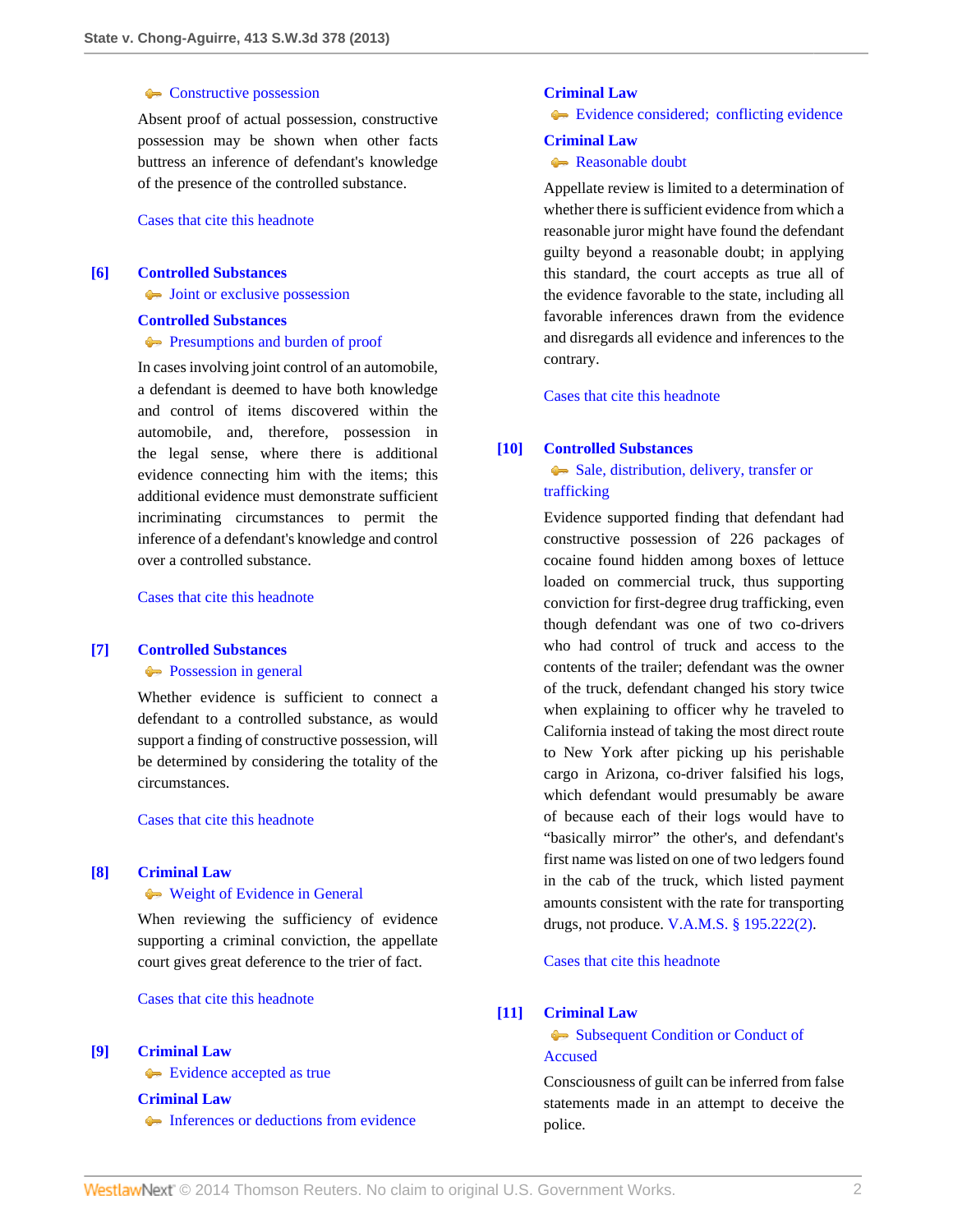### [Constructive possession](http://www.westlaw.com/Browse/Home/KeyNumber/96Hk28/View.html?docGuid=I64deda7d4c0911e3a341ea44e5e1f25f&originationContext=document&vr=3.0&rs=cblt1.0&transitionType=DocumentItem&contextData=(sc.Search))

Absent proof of actual possession, constructive possession may be shown when other facts buttress an inference of defendant's knowledge of the presence of the controlled substance.

[Cases that cite this headnote](http://www.westlaw.com/Link/RelatedInformation/DocHeadnoteLink?docGuid=I64deda7d4c0911e3a341ea44e5e1f25f&headnoteId=203193517700520140302081126&originationContext=document&vr=3.0&rs=cblt1.0&transitionType=CitingReferences&contextData=(sc.Search))

# <span id="page-1-1"></span>**[\[6\]](#page-7-2) [Controlled Substances](http://www.westlaw.com/Browse/Home/KeyNumber/96H/View.html?docGuid=I64deda7d4c0911e3a341ea44e5e1f25f&originationContext=document&vr=3.0&rs=cblt1.0&transitionType=DocumentItem&contextData=(sc.Search))**

 $\rightarrow$  [Joint or exclusive possession](http://www.westlaw.com/Browse/Home/KeyNumber/96Hk30/View.html?docGuid=I64deda7d4c0911e3a341ea44e5e1f25f&originationContext=document&vr=3.0&rs=cblt1.0&transitionType=DocumentItem&contextData=(sc.Search))

#### **[Controlled Substances](http://www.westlaw.com/Browse/Home/KeyNumber/96H/View.html?docGuid=I64deda7d4c0911e3a341ea44e5e1f25f&originationContext=document&vr=3.0&rs=cblt1.0&transitionType=DocumentItem&contextData=(sc.Search))**

# **[Presumptions and burden of proof](http://www.westlaw.com/Browse/Home/KeyNumber/96Hk68/View.html?docGuid=I64deda7d4c0911e3a341ea44e5e1f25f&originationContext=document&vr=3.0&rs=cblt1.0&transitionType=DocumentItem&contextData=(sc.Search))**

In cases involving joint control of an automobile, a defendant is deemed to have both knowledge and control of items discovered within the automobile, and, therefore, possession in the legal sense, where there is additional evidence connecting him with the items; this additional evidence must demonstrate sufficient incriminating circumstances to permit the inference of a defendant's knowledge and control over a controlled substance.

[Cases that cite this headnote](http://www.westlaw.com/Link/RelatedInformation/DocHeadnoteLink?docGuid=I64deda7d4c0911e3a341ea44e5e1f25f&headnoteId=203193517700620140302081126&originationContext=document&vr=3.0&rs=cblt1.0&transitionType=CitingReferences&contextData=(sc.Search))

### <span id="page-1-2"></span>**[\[7\]](#page-7-3) [Controlled Substances](http://www.westlaw.com/Browse/Home/KeyNumber/96H/View.html?docGuid=I64deda7d4c0911e3a341ea44e5e1f25f&originationContext=document&vr=3.0&rs=cblt1.0&transitionType=DocumentItem&contextData=(sc.Search))**

**[Possession in general](http://www.westlaw.com/Browse/Home/KeyNumber/96Hk79/View.html?docGuid=I64deda7d4c0911e3a341ea44e5e1f25f&originationContext=document&vr=3.0&rs=cblt1.0&transitionType=DocumentItem&contextData=(sc.Search))** 

Whether evidence is sufficient to connect a defendant to a controlled substance, as would support a finding of constructive possession, will be determined by considering the totality of the circumstances.

[Cases that cite this headnote](http://www.westlaw.com/Link/RelatedInformation/DocHeadnoteLink?docGuid=I64deda7d4c0911e3a341ea44e5e1f25f&headnoteId=203193517700720140302081126&originationContext=document&vr=3.0&rs=cblt1.0&transitionType=CitingReferences&contextData=(sc.Search))

## <span id="page-1-3"></span>**[\[8\]](#page-7-4) [Criminal Law](http://www.westlaw.com/Browse/Home/KeyNumber/110/View.html?docGuid=I64deda7d4c0911e3a341ea44e5e1f25f&originationContext=document&vr=3.0&rs=cblt1.0&transitionType=DocumentItem&contextData=(sc.Search))**

#### [Weight of Evidence in General](http://www.westlaw.com/Browse/Home/KeyNumber/110k1159.2/View.html?docGuid=I64deda7d4c0911e3a341ea44e5e1f25f&originationContext=document&vr=3.0&rs=cblt1.0&transitionType=DocumentItem&contextData=(sc.Search))

When reviewing the sufficiency of evidence supporting a criminal conviction, the appellate court gives great deference to the trier of fact.

[Cases that cite this headnote](http://www.westlaw.com/Link/RelatedInformation/DocHeadnoteLink?docGuid=I64deda7d4c0911e3a341ea44e5e1f25f&headnoteId=203193517700820140302081126&originationContext=document&vr=3.0&rs=cblt1.0&transitionType=CitingReferences&contextData=(sc.Search))

### <span id="page-1-4"></span>**[\[9\]](#page-7-5) [Criminal Law](http://www.westlaw.com/Browse/Home/KeyNumber/110/View.html?docGuid=I64deda7d4c0911e3a341ea44e5e1f25f&originationContext=document&vr=3.0&rs=cblt1.0&transitionType=DocumentItem&contextData=(sc.Search))**

**[Evidence accepted as true](http://www.westlaw.com/Browse/Home/KeyNumber/110k1144.13(4)/View.html?docGuid=I64deda7d4c0911e3a341ea44e5e1f25f&originationContext=document&vr=3.0&rs=cblt1.0&transitionType=DocumentItem&contextData=(sc.Search))** 

**[Criminal Law](http://www.westlaw.com/Browse/Home/KeyNumber/110/View.html?docGuid=I64deda7d4c0911e3a341ea44e5e1f25f&originationContext=document&vr=3.0&rs=cblt1.0&transitionType=DocumentItem&contextData=(sc.Search))**

[Inferences or deductions from evidence](http://www.westlaw.com/Browse/Home/KeyNumber/110k1144.13(5)/View.html?docGuid=I64deda7d4c0911e3a341ea44e5e1f25f&originationContext=document&vr=3.0&rs=cblt1.0&transitionType=DocumentItem&contextData=(sc.Search))

## **[Criminal Law](http://www.westlaw.com/Browse/Home/KeyNumber/110/View.html?docGuid=I64deda7d4c0911e3a341ea44e5e1f25f&originationContext=document&vr=3.0&rs=cblt1.0&transitionType=DocumentItem&contextData=(sc.Search))**

[Evidence considered; conflicting evidence](http://www.westlaw.com/Browse/Home/KeyNumber/110k1144.13(6)/View.html?docGuid=I64deda7d4c0911e3a341ea44e5e1f25f&originationContext=document&vr=3.0&rs=cblt1.0&transitionType=DocumentItem&contextData=(sc.Search))

#### **[Criminal Law](http://www.westlaw.com/Browse/Home/KeyNumber/110/View.html?docGuid=I64deda7d4c0911e3a341ea44e5e1f25f&originationContext=document&vr=3.0&rs=cblt1.0&transitionType=DocumentItem&contextData=(sc.Search))**

# **[Reasonable doubt](http://www.westlaw.com/Browse/Home/KeyNumber/110k1159.2(7)/View.html?docGuid=I64deda7d4c0911e3a341ea44e5e1f25f&originationContext=document&vr=3.0&rs=cblt1.0&transitionType=DocumentItem&contextData=(sc.Search))**

Appellate review is limited to a determination of whether there is sufficient evidence from which a reasonable juror might have found the defendant guilty beyond a reasonable doubt; in applying this standard, the court accepts as true all of the evidence favorable to the state, including all favorable inferences drawn from the evidence and disregards all evidence and inferences to the contrary.

[Cases that cite this headnote](http://www.westlaw.com/Link/RelatedInformation/DocHeadnoteLink?docGuid=I64deda7d4c0911e3a341ea44e5e1f25f&headnoteId=203193517700920140302081126&originationContext=document&vr=3.0&rs=cblt1.0&transitionType=CitingReferences&contextData=(sc.Search))

### <span id="page-1-0"></span>**[\[10\]](#page-7-6) [Controlled Substances](http://www.westlaw.com/Browse/Home/KeyNumber/96H/View.html?docGuid=I64deda7d4c0911e3a341ea44e5e1f25f&originationContext=document&vr=3.0&rs=cblt1.0&transitionType=DocumentItem&contextData=(sc.Search))**

# [Sale, distribution, delivery, transfer or](http://www.westlaw.com/Browse/Home/KeyNumber/96Hk82/View.html?docGuid=I64deda7d4c0911e3a341ea44e5e1f25f&originationContext=document&vr=3.0&rs=cblt1.0&transitionType=DocumentItem&contextData=(sc.Search)) [trafficking](http://www.westlaw.com/Browse/Home/KeyNumber/96Hk82/View.html?docGuid=I64deda7d4c0911e3a341ea44e5e1f25f&originationContext=document&vr=3.0&rs=cblt1.0&transitionType=DocumentItem&contextData=(sc.Search))

Evidence supported finding that defendant had constructive possession of 226 packages of cocaine found hidden among boxes of lettuce loaded on commercial truck, thus supporting conviction for first-degree drug trafficking, even though defendant was one of two co-drivers who had control of truck and access to the contents of the trailer; defendant was the owner of the truck, defendant changed his story twice when explaining to officer why he traveled to California instead of taking the most direct route to New York after picking up his perishable cargo in Arizona, co-driver falsified his logs, which defendant would presumably be aware of because each of their logs would have to "basically mirror" the other's, and defendant's first name was listed on one of two ledgers found in the cab of the truck, which listed payment amounts consistent with the rate for transporting drugs, not produce. [V.A.M.S. § 195.222\(2\)](http://www.westlaw.com/Link/Document/FullText?findType=L&pubNum=1000229&cite=MOST195.222&originatingDoc=I64deda7d4c0911e3a341ea44e5e1f25f&refType=LQ&originationContext=document&vr=3.0&rs=cblt1.0&transitionType=DocumentItem&contextData=(sc.Search)).

[Cases that cite this headnote](http://www.westlaw.com/Link/RelatedInformation/DocHeadnoteLink?docGuid=I64deda7d4c0911e3a341ea44e5e1f25f&headnoteId=203193517701020140302081126&originationContext=document&vr=3.0&rs=cblt1.0&transitionType=CitingReferences&contextData=(sc.Search))

#### <span id="page-1-5"></span>**[\[11\]](#page-7-7) [Criminal Law](http://www.westlaw.com/Browse/Home/KeyNumber/110/View.html?docGuid=I64deda7d4c0911e3a341ea44e5e1f25f&originationContext=document&vr=3.0&rs=cblt1.0&transitionType=DocumentItem&contextData=(sc.Search))**

# [Subsequent Condition or Conduct of](http://www.westlaw.com/Browse/Home/KeyNumber/110k351/View.html?docGuid=I64deda7d4c0911e3a341ea44e5e1f25f&originationContext=document&vr=3.0&rs=cblt1.0&transitionType=DocumentItem&contextData=(sc.Search)) [Accused](http://www.westlaw.com/Browse/Home/KeyNumber/110k351/View.html?docGuid=I64deda7d4c0911e3a341ea44e5e1f25f&originationContext=document&vr=3.0&rs=cblt1.0&transitionType=DocumentItem&contextData=(sc.Search))

Consciousness of guilt can be inferred from false statements made in an attempt to deceive the police.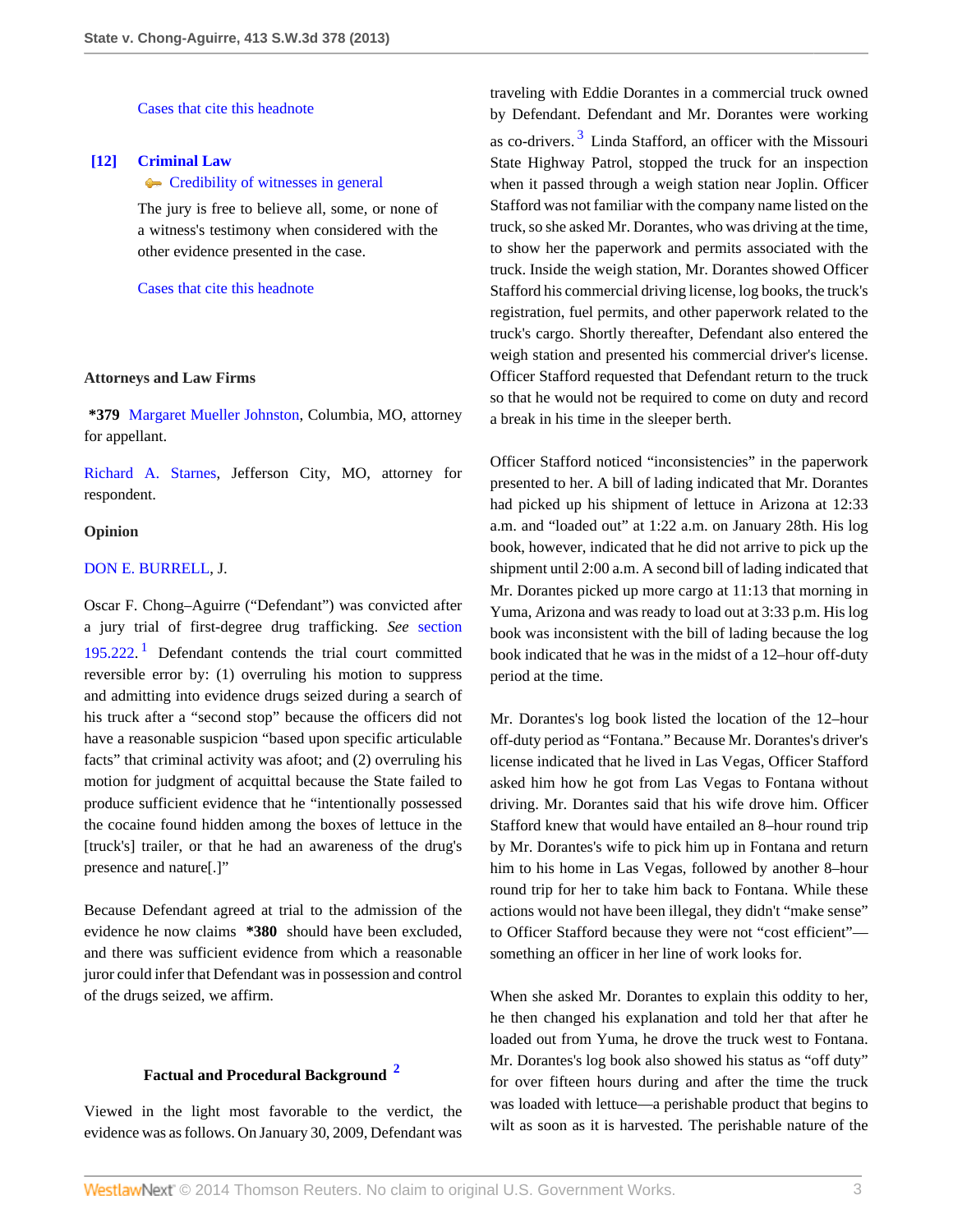[Cases that cite this headnote](http://www.westlaw.com/Link/RelatedInformation/DocHeadnoteLink?docGuid=I64deda7d4c0911e3a341ea44e5e1f25f&headnoteId=203193517701120140302081126&originationContext=document&vr=3.0&rs=cblt1.0&transitionType=CitingReferences&contextData=(sc.Search))

# <span id="page-2-0"></span>**[\[12\]](#page-7-8) [Criminal Law](http://www.westlaw.com/Browse/Home/KeyNumber/110/View.html?docGuid=I64deda7d4c0911e3a341ea44e5e1f25f&originationContext=document&vr=3.0&rs=cblt1.0&transitionType=DocumentItem&contextData=(sc.Search))**

# **[Credibility of witnesses in general](http://www.westlaw.com/Browse/Home/KeyNumber/110k553/View.html?docGuid=I64deda7d4c0911e3a341ea44e5e1f25f&originationContext=document&vr=3.0&rs=cblt1.0&transitionType=DocumentItem&contextData=(sc.Search))**

The jury is free to believe all, some, or none of a witness's testimony when considered with the other evidence presented in the case.

[Cases that cite this headnote](http://www.westlaw.com/Link/RelatedInformation/DocHeadnoteLink?docGuid=I64deda7d4c0911e3a341ea44e5e1f25f&headnoteId=203193517701220140302081126&originationContext=document&vr=3.0&rs=cblt1.0&transitionType=CitingReferences&contextData=(sc.Search))

#### **Attorneys and Law Firms**

**\*379** [Margaret Mueller Johnston,](http://www.westlaw.com/Link/Document/FullText?findType=h&pubNum=176284&cite=0290283101&originatingDoc=I64deda7d4c0911e3a341ea44e5e1f25f&refType=RQ&originationContext=document&vr=3.0&rs=cblt1.0&transitionType=DocumentItem&contextData=(sc.Search)) Columbia, MO, attorney for appellant.

[Richard A. Starnes](http://www.westlaw.com/Link/Document/FullText?findType=h&pubNum=176284&cite=0188848601&originatingDoc=I64deda7d4c0911e3a341ea44e5e1f25f&refType=RQ&originationContext=document&vr=3.0&rs=cblt1.0&transitionType=DocumentItem&contextData=(sc.Search)), Jefferson City, MO, attorney for respondent.

#### **Opinion**

#### [DON E. BURRELL,](http://www.westlaw.com/Link/Document/FullText?findType=h&pubNum=176284&cite=0235973401&originatingDoc=I64deda7d4c0911e3a341ea44e5e1f25f&refType=RQ&originationContext=document&vr=3.0&rs=cblt1.0&transitionType=DocumentItem&contextData=(sc.Search)) J.

<span id="page-2-1"></span>Oscar F. Chong–Aguirre ("Defendant") was convicted after a jury trial of first-degree drug trafficking. *See* [section](http://www.westlaw.com/Link/Document/FullText?findType=L&pubNum=1000229&cite=MOST195.222&originatingDoc=I64deda7d4c0911e3a341ea44e5e1f25f&refType=LQ&originationContext=document&vr=3.0&rs=cblt1.0&transitionType=DocumentItem&contextData=(sc.Search)) [195.222](http://www.westlaw.com/Link/Document/FullText?findType=L&pubNum=1000229&cite=MOST195.222&originatingDoc=I64deda7d4c0911e3a341ea44e5e1f25f&refType=LQ&originationContext=document&vr=3.0&rs=cblt1.0&transitionType=DocumentItem&contextData=(sc.Search)). [1](#page-8-0) Defendant contends the trial court committed reversible error by: (1) overruling his motion to suppress and admitting into evidence drugs seized during a search of his truck after a "second stop" because the officers did not have a reasonable suspicion "based upon specific articulable facts" that criminal activity was afoot; and (2) overruling his motion for judgment of acquittal because the State failed to produce sufficient evidence that he "intentionally possessed the cocaine found hidden among the boxes of lettuce in the [truck's] trailer, or that he had an awareness of the drug's presence and nature[.]"

Because Defendant agreed at trial to the admission of the evidence he now claims **\*380** should have been excluded, and there was sufficient evidence from which a reasonable juror could infer that Defendant was in possession and control of the drugs seized, we affirm.

# **Factual and Procedural Background [2](#page-8-1)**

Viewed in the light most favorable to the verdict, the evidence was as follows. On January 30, 2009, Defendant was <span id="page-2-3"></span>traveling with Eddie Dorantes in a commercial truck owned by Defendant. Defendant and Mr. Dorantes were working as co-drivers.<sup>[3](#page-8-2)</sup> Linda Stafford, an officer with the Missouri State Highway Patrol, stopped the truck for an inspection when it passed through a weigh station near Joplin. Officer Stafford was not familiar with the company name listed on the truck, so she asked Mr. Dorantes, who was driving at the time, to show her the paperwork and permits associated with the truck. Inside the weigh station, Mr. Dorantes showed Officer Stafford his commercial driving license, log books, the truck's registration, fuel permits, and other paperwork related to the truck's cargo. Shortly thereafter, Defendant also entered the weigh station and presented his commercial driver's license. Officer Stafford requested that Defendant return to the truck so that he would not be required to come on duty and record a break in his time in the sleeper berth.

Officer Stafford noticed "inconsistencies" in the paperwork presented to her. A bill of lading indicated that Mr. Dorantes had picked up his shipment of lettuce in Arizona at 12:33 a.m. and "loaded out" at 1:22 a.m. on January 28th. His log book, however, indicated that he did not arrive to pick up the shipment until 2:00 a.m. A second bill of lading indicated that Mr. Dorantes picked up more cargo at 11:13 that morning in Yuma, Arizona and was ready to load out at 3:33 p.m. His log book was inconsistent with the bill of lading because the log book indicated that he was in the midst of a 12–hour off-duty period at the time.

Mr. Dorantes's log book listed the location of the 12–hour off-duty period as "Fontana." Because Mr. Dorantes's driver's license indicated that he lived in Las Vegas, Officer Stafford asked him how he got from Las Vegas to Fontana without driving. Mr. Dorantes said that his wife drove him. Officer Stafford knew that would have entailed an 8–hour round trip by Mr. Dorantes's wife to pick him up in Fontana and return him to his home in Las Vegas, followed by another 8–hour round trip for her to take him back to Fontana. While these actions would not have been illegal, they didn't "make sense" to Officer Stafford because they were not "cost efficient" something an officer in her line of work looks for.

<span id="page-2-2"></span>When she asked Mr. Dorantes to explain this oddity to her, he then changed his explanation and told her that after he loaded out from Yuma, he drove the truck west to Fontana. Mr. Dorantes's log book also showed his status as "off duty" for over fifteen hours during and after the time the truck was loaded with lettuce—a perishable product that begins to wilt as soon as it is harvested. The perishable nature of the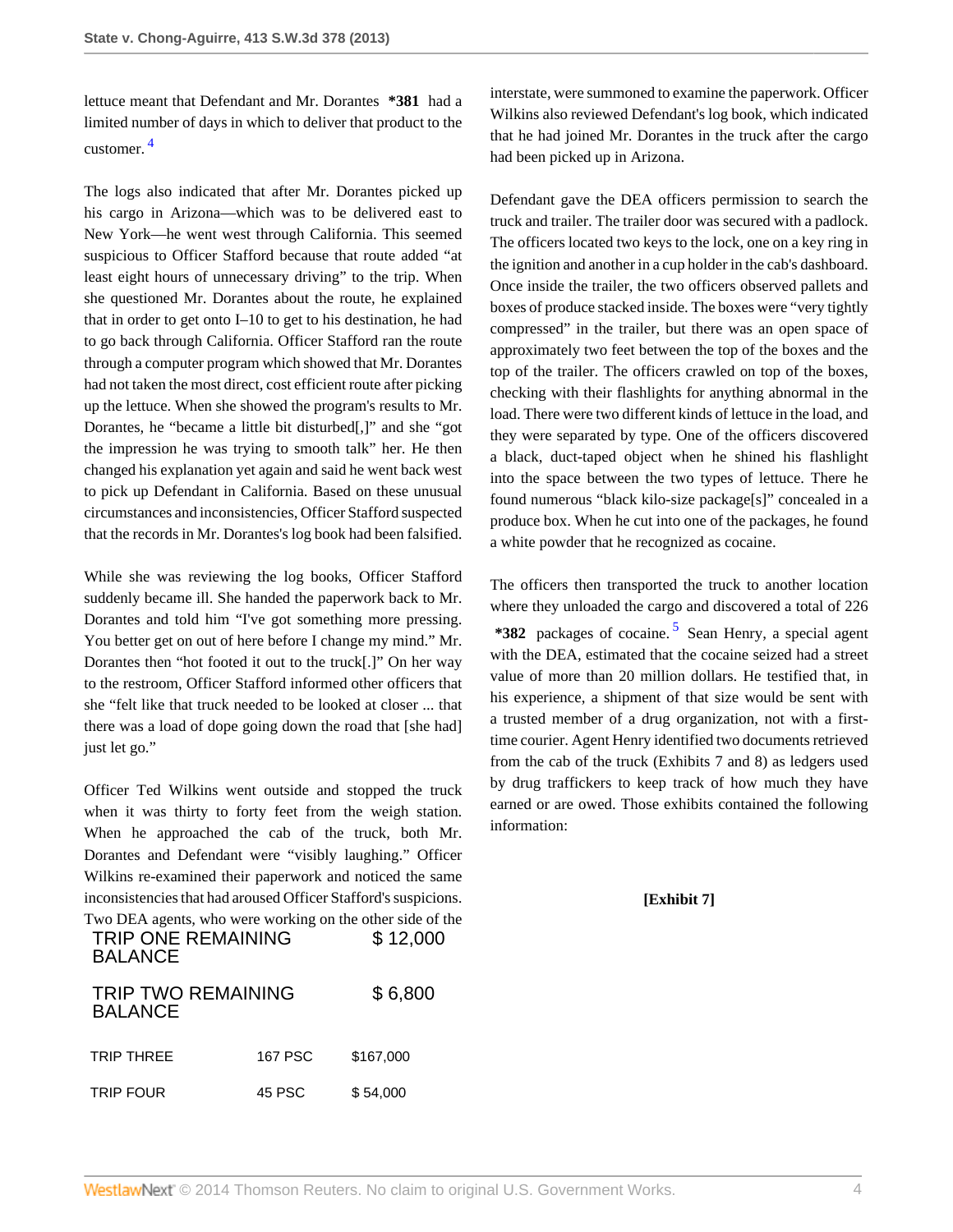<span id="page-3-0"></span>lettuce meant that Defendant and Mr. Dorantes **\*381** had a limited number of days in which to deliver that product to the customer. [4](#page-8-3)

The logs also indicated that after Mr. Dorantes picked up his cargo in Arizona—which was to be delivered east to New York—he went west through California. This seemed suspicious to Officer Stafford because that route added "at least eight hours of unnecessary driving" to the trip. When she questioned Mr. Dorantes about the route, he explained that in order to get onto I–10 to get to his destination, he had to go back through California. Officer Stafford ran the route through a computer program which showed that Mr. Dorantes had not taken the most direct, cost efficient route after picking up the lettuce. When she showed the program's results to Mr. Dorantes, he "became a little bit disturbed[,]" and she "got the impression he was trying to smooth talk" her. He then changed his explanation yet again and said he went back west to pick up Defendant in California. Based on these unusual circumstances and inconsistencies, Officer Stafford suspected that the records in Mr. Dorantes's log book had been falsified.

While she was reviewing the log books, Officer Stafford suddenly became ill. She handed the paperwork back to Mr. Dorantes and told him "I've got something more pressing. You better get on out of here before I change my mind." Mr. Dorantes then "hot footed it out to the truck[.]" On her way to the restroom, Officer Stafford informed other officers that she "felt like that truck needed to be looked at closer ... that there was a load of dope going down the road that [she had] just let go."

Officer Ted Wilkins went outside and stopped the truck when it was thirty to forty feet from the weigh station. When he approached the cab of the truck, both Mr. Dorantes and Defendant were "visibly laughing." Officer Wilkins re-examined their paperwork and noticed the same inconsistencies that had aroused Officer Stafford's suspicions. Two DEA agents, who were working on the other side of the

| <b>TRIP ONE REMAINING</b><br><b>BALANCE</b> | $\mathbf{r}$ we be a agency, who were working on the other side of the<br>\$12,000 |           |  |
|---------------------------------------------|------------------------------------------------------------------------------------|-----------|--|
| <b>TRIP TWO REMAINING</b><br><b>BALANCE</b> |                                                                                    | \$6,800   |  |
| <b>TRIP THREE</b>                           | <b>167 PSC</b>                                                                     | \$167.000 |  |
| <b>TRIP FOUR</b>                            | 45 PSC                                                                             | \$54,000  |  |

interstate, were summoned to examine the paperwork. Officer Wilkins also reviewed Defendant's log book, which indicated that he had joined Mr. Dorantes in the truck after the cargo had been picked up in Arizona.

Defendant gave the DEA officers permission to search the truck and trailer. The trailer door was secured with a padlock. The officers located two keys to the lock, one on a key ring in the ignition and another in a cup holder in the cab's dashboard. Once inside the trailer, the two officers observed pallets and boxes of produce stacked inside. The boxes were "very tightly compressed" in the trailer, but there was an open space of approximately two feet between the top of the boxes and the top of the trailer. The officers crawled on top of the boxes, checking with their flashlights for anything abnormal in the load. There were two different kinds of lettuce in the load, and they were separated by type. One of the officers discovered a black, duct-taped object when he shined his flashlight into the space between the two types of lettuce. There he found numerous "black kilo-size package[s]" concealed in a produce box. When he cut into one of the packages, he found a white powder that he recognized as cocaine.

<span id="page-3-1"></span>The officers then transported the truck to another location where they unloaded the cargo and discovered a total of 226 **\*382** packages of cocaine. [5](#page-8-4) Sean Henry, a special agent with the DEA, estimated that the cocaine seized had a street value of more than 20 million dollars. He testified that, in his experience, a shipment of that size would be sent with a trusted member of a drug organization, not with a firsttime courier. Agent Henry identified two documents retrieved from the cab of the truck (Exhibits 7 and 8) as ledgers used by drug traffickers to keep track of how much they have earned or are owed. Those exhibits contained the following information:

# **[Exhibit 7]**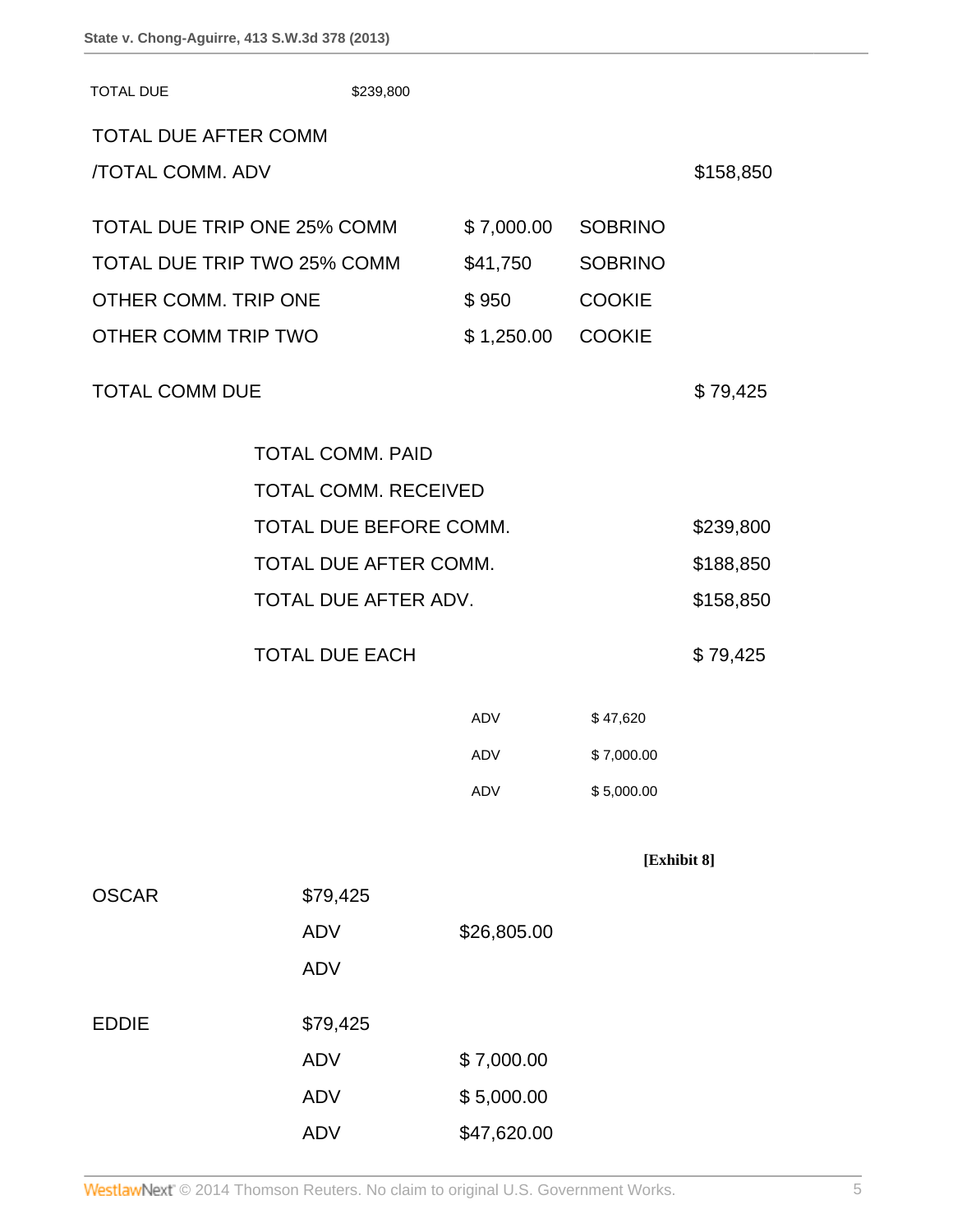| <b>TOTAL DUE</b>            | \$239,800               |             |                |             |  |
|-----------------------------|-------------------------|-------------|----------------|-------------|--|
| <b>TOTAL DUE AFTER COMM</b> |                         |             |                |             |  |
| <b>/TOTAL COMM. ADV</b>     |                         |             |                | \$158,850   |  |
|                             |                         |             |                |             |  |
| TOTAL DUE TRIP ONE 25% COMM |                         | \$7,000.00  | <b>SOBRINO</b> |             |  |
| TOTAL DUE TRIP TWO 25% COMM |                         | \$41,750    | <b>SOBRINO</b> |             |  |
| OTHER COMM. TRIP ONE        |                         | \$950       | <b>COOKIE</b>  |             |  |
| OTHER COMM TRIP TWO         |                         | \$1,250.00  | <b>COOKIE</b>  |             |  |
| <b>TOTAL COMM DUE</b>       |                         |             |                | \$79,425    |  |
|                             | <b>TOTAL COMM. PAID</b> |             |                |             |  |
| TOTAL COMM. RECEIVED        |                         |             |                |             |  |
| TOTAL DUE BEFORE COMM.      |                         |             |                | \$239,800   |  |
| TOTAL DUE AFTER COMM.       |                         |             | \$188,850      |             |  |
| TOTAL DUE AFTER ADV.        |                         |             | \$158,850      |             |  |
|                             | <b>TOTAL DUE EACH</b>   |             |                | \$79,425    |  |
|                             |                         | ADV         | \$47,620       |             |  |
|                             |                         | ADV         | \$7,000.00     |             |  |
|                             |                         | ADV         | \$5,000.00     |             |  |
|                             |                         |             |                | [Exhibit 8] |  |
| <b>OSCAR</b>                | \$79,425                |             |                |             |  |
|                             | <b>ADV</b>              | \$26,805.00 |                |             |  |
|                             | <b>ADV</b>              |             |                |             |  |
| <b>EDDIE</b>                | \$79,425                |             |                |             |  |
|                             | <b>ADV</b>              | \$7,000.00  |                |             |  |
|                             | <b>ADV</b>              | \$5,000.00  |                |             |  |
|                             | <b>ADV</b>              | \$47,620.00 |                |             |  |
|                             |                         |             |                |             |  |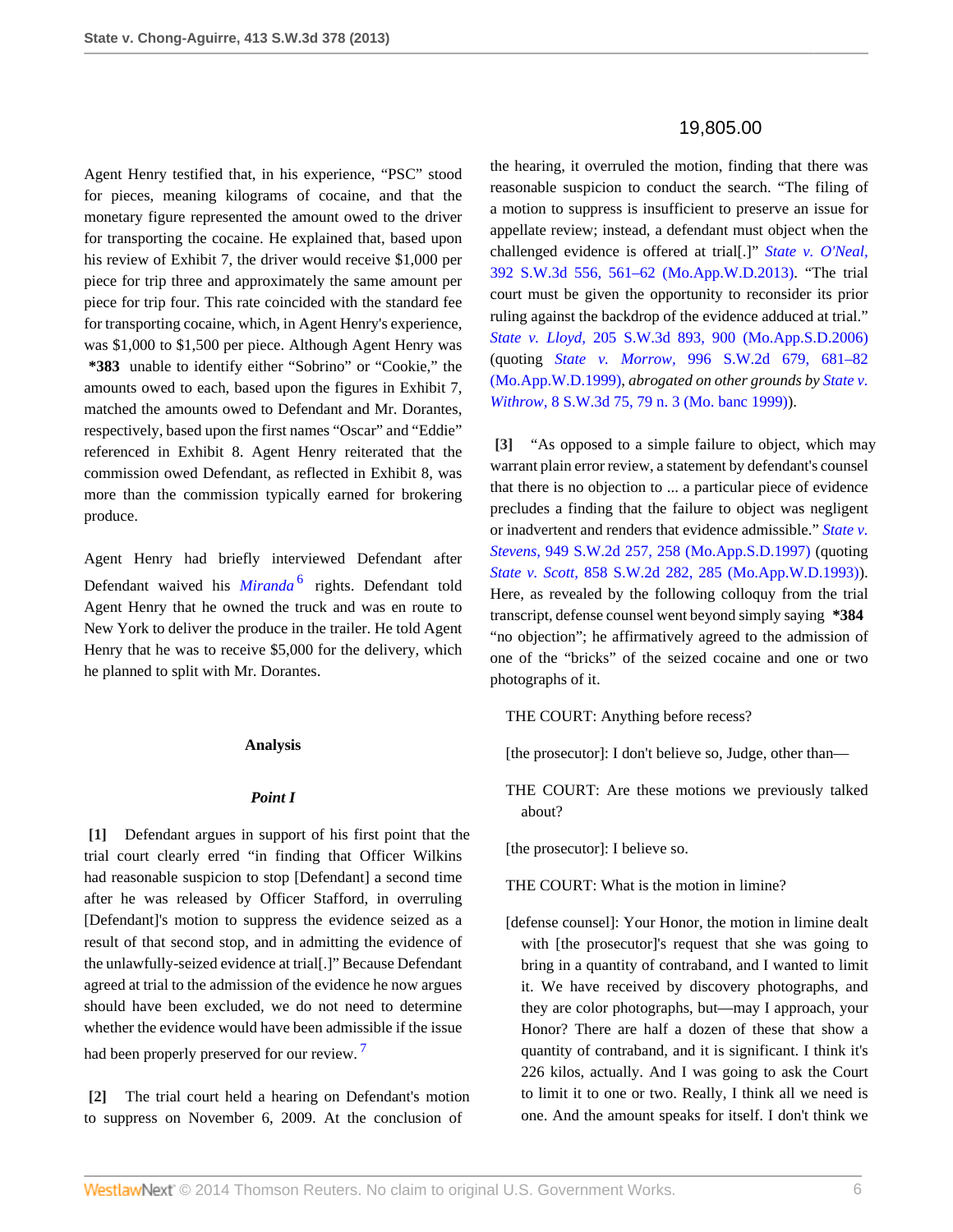Agent Henry testified that, in his experience, "PSC" stood for pieces, meaning kilograms of cocaine, and that the monetary figure represented the amount owed to the driver for transporting the cocaine. He explained that, based upon his review of Exhibit 7, the driver would receive \$1,000 per piece for trip three and approximately the same amount per piece for trip four. This rate coincided with the standard fee for transporting cocaine, which, in Agent Henry's experience, was \$1,000 to \$1,500 per piece. Although Agent Henry was **\*383** unable to identify either "Sobrino" or "Cookie," the amounts owed to each, based upon the figures in Exhibit 7, matched the amounts owed to Defendant and Mr. Dorantes, respectively, based upon the first names "Oscar" and "Eddie" referenced in Exhibit 8. Agent Henry reiterated that the commission owed Defendant, as reflected in Exhibit 8, was more than the commission typically earned for brokering produce.

Agent Henry had briefly interviewed Defendant after Defendant waived his *[Miranda](http://www.westlaw.com/Link/Document/FullText?findType=Y&serNum=1966131580&originationContext=document&vr=3.0&rs=cblt1.0&transitionType=DocumentItem&contextData=(sc.Search))*<sup>[6](#page-8-5)</sup> rights. Defendant told Agent Henry that he owned the truck and was en route to New York to deliver the produce in the trailer. He told Agent Henry that he was to receive \$5,000 for the delivery, which he planned to split with Mr. Dorantes.

#### <span id="page-5-3"></span>**Analysis**

## *Point I*

<span id="page-5-0"></span>**[\[1\]](#page-0-0)** Defendant argues in support of his first point that the trial court clearly erred "in finding that Officer Wilkins had reasonable suspicion to stop [Defendant] a second time after he was released by Officer Stafford, in overruling [Defendant]'s motion to suppress the evidence seized as a result of that second stop, and in admitting the evidence of the unlawfully-seized evidence at trial[.]" Because Defendant agreed at trial to the admission of the evidence he now argues should have been excluded, we do not need to determine whether the evidence would have been admissible if the issue had been properly preserved for our review.<sup>[7](#page-8-6)</sup>

<span id="page-5-1"></span>**[\[2\]](#page-0-1)** The trial court held a hearing on Defendant's motion to suppress on November 6, 2009. At the conclusion of

# 19,805.00

the hearing, it overruled the motion, finding that there was reasonable suspicion to conduct the search. "The filing of a motion to suppress is insufficient to preserve an issue for appellate review; instead, a defendant must object when the challenged evidence is offered at trial[.]" *[State v. O'Neal,](http://www.westlaw.com/Link/Document/FullText?findType=Y&serNum=2030090884&pubNum=4644&fi=co_pp_sp_4644_561&originationContext=document&vr=3.0&rs=cblt1.0&transitionType=DocumentItem&contextData=(sc.Search)#co_pp_sp_4644_561)* [392 S.W.3d 556, 561–62 \(Mo.App.W.D.2013\)](http://www.westlaw.com/Link/Document/FullText?findType=Y&serNum=2030090884&pubNum=4644&fi=co_pp_sp_4644_561&originationContext=document&vr=3.0&rs=cblt1.0&transitionType=DocumentItem&contextData=(sc.Search)#co_pp_sp_4644_561). "The trial court must be given the opportunity to reconsider its prior ruling against the backdrop of the evidence adduced at trial." *State v. Lloyd,* [205 S.W.3d 893, 900 \(Mo.App.S.D.2006\)](http://www.westlaw.com/Link/Document/FullText?findType=Y&serNum=2010732959&pubNum=4644&fi=co_pp_sp_4644_900&originationContext=document&vr=3.0&rs=cblt1.0&transitionType=DocumentItem&contextData=(sc.Search)#co_pp_sp_4644_900) (quoting *State v. Morrow,* [996 S.W.2d 679, 681–82](http://www.westlaw.com/Link/Document/FullText?findType=Y&serNum=1999124142&pubNum=713&fi=co_pp_sp_713_681&originationContext=document&vr=3.0&rs=cblt1.0&transitionType=DocumentItem&contextData=(sc.Search)#co_pp_sp_713_681) [\(Mo.App.W.D.1999\)](http://www.westlaw.com/Link/Document/FullText?findType=Y&serNum=1999124142&pubNum=713&fi=co_pp_sp_713_681&originationContext=document&vr=3.0&rs=cblt1.0&transitionType=DocumentItem&contextData=(sc.Search)#co_pp_sp_713_681), *abrogated on other grounds by [State v.](http://www.westlaw.com/Link/Document/FullText?findType=Y&serNum=1999268048&pubNum=4644&fi=co_pp_sp_4644_79&originationContext=document&vr=3.0&rs=cblt1.0&transitionType=DocumentItem&contextData=(sc.Search)#co_pp_sp_4644_79) Withrow,* [8 S.W.3d 75, 79 n. 3 \(Mo. banc 1999\)](http://www.westlaw.com/Link/Document/FullText?findType=Y&serNum=1999268048&pubNum=4644&fi=co_pp_sp_4644_79&originationContext=document&vr=3.0&rs=cblt1.0&transitionType=DocumentItem&contextData=(sc.Search)#co_pp_sp_4644_79)).

<span id="page-5-2"></span>**[\[3\]](#page-0-2)** "As opposed to a simple failure to object, which may warrant plain error review, a statement by defendant's counsel that there is no objection to ... a particular piece of evidence precludes a finding that the failure to object was negligent or inadvertent and renders that evidence admissible." *[State v.](http://www.westlaw.com/Link/Document/FullText?findType=Y&serNum=1997150584&pubNum=713&fi=co_pp_sp_713_258&originationContext=document&vr=3.0&rs=cblt1.0&transitionType=DocumentItem&contextData=(sc.Search)#co_pp_sp_713_258) Stevens,* [949 S.W.2d 257, 258 \(Mo.App.S.D.1997\)](http://www.westlaw.com/Link/Document/FullText?findType=Y&serNum=1997150584&pubNum=713&fi=co_pp_sp_713_258&originationContext=document&vr=3.0&rs=cblt1.0&transitionType=DocumentItem&contextData=(sc.Search)#co_pp_sp_713_258) (quoting *State v. Scott,* [858 S.W.2d 282, 285 \(Mo.App.W.D.1993\)](http://www.westlaw.com/Link/Document/FullText?findType=Y&serNum=1993150045&pubNum=713&fi=co_pp_sp_713_285&originationContext=document&vr=3.0&rs=cblt1.0&transitionType=DocumentItem&contextData=(sc.Search)#co_pp_sp_713_285)). Here, as revealed by the following colloquy from the trial transcript, defense counsel went beyond simply saying **\*384** "no objection"; he affirmatively agreed to the admission of one of the "bricks" of the seized cocaine and one or two photographs of it.

THE COURT: Anything before recess?

- [the prosecutor]: I don't believe so, Judge, other than—
- THE COURT: Are these motions we previously talked about?

[the prosecutor]: I believe so.

THE COURT: What is the motion in limine?

<span id="page-5-4"></span>[defense counsel]: Your Honor, the motion in limine dealt with [the prosecutor]'s request that she was going to bring in a quantity of contraband, and I wanted to limit it. We have received by discovery photographs, and they are color photographs, but—may I approach, your Honor? There are half a dozen of these that show a quantity of contraband, and it is significant. I think it's 226 kilos, actually. And I was going to ask the Court to limit it to one or two. Really, I think all we need is one. And the amount speaks for itself. I don't think we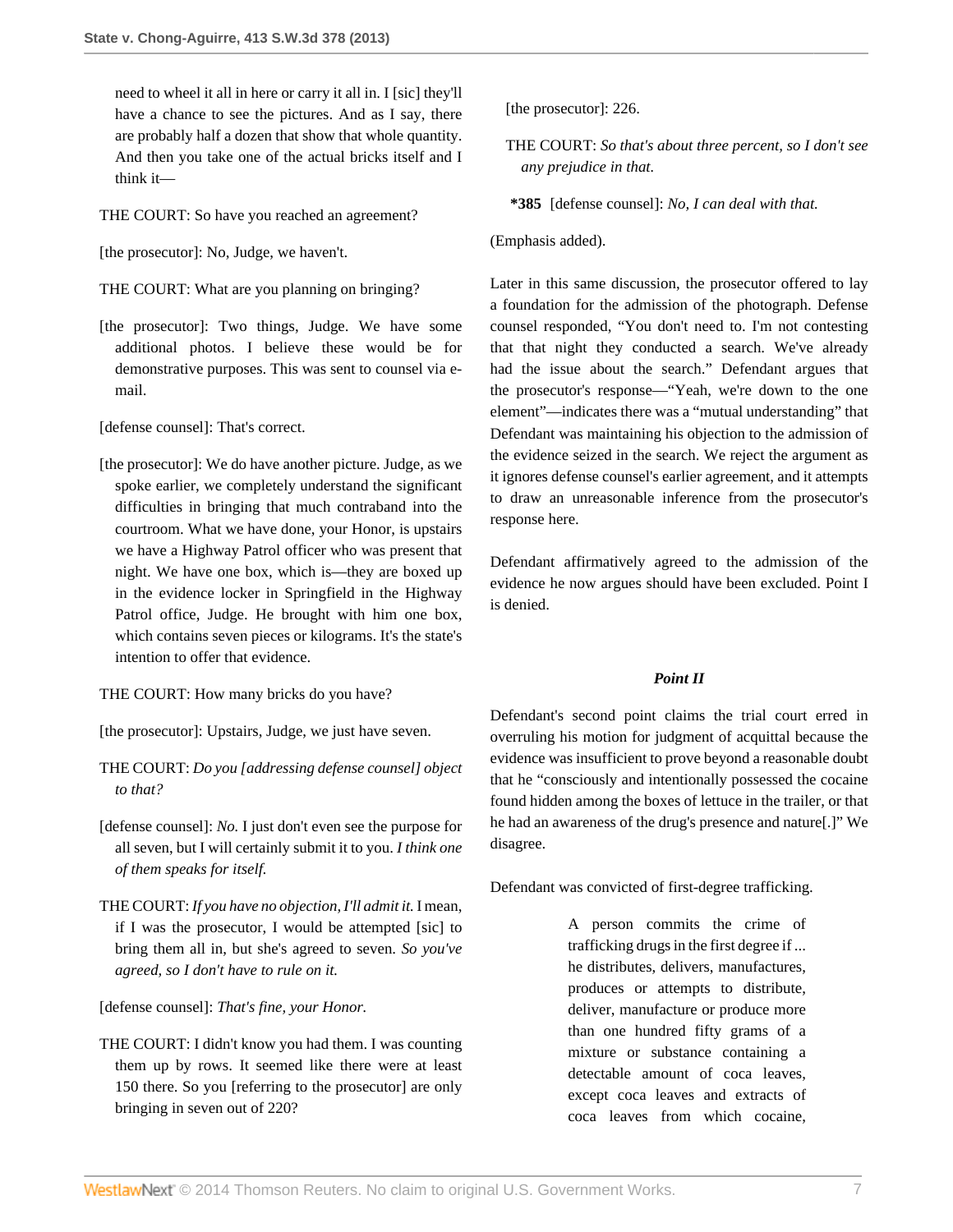need to wheel it all in here or carry it all in. I [sic] they'll have a chance to see the pictures. And as I say, there are probably half a dozen that show that whole quantity. And then you take one of the actual bricks itself and I think it—

THE COURT: So have you reached an agreement?

[the prosecutor]: No, Judge, we haven't.

- THE COURT: What are you planning on bringing?
- [the prosecutor]: Two things, Judge. We have some additional photos. I believe these would be for demonstrative purposes. This was sent to counsel via email.

[defense counsel]: That's correct.

[the prosecutor]: We do have another picture. Judge, as we spoke earlier, we completely understand the significant difficulties in bringing that much contraband into the courtroom. What we have done, your Honor, is upstairs we have a Highway Patrol officer who was present that night. We have one box, which is—they are boxed up in the evidence locker in Springfield in the Highway Patrol office, Judge. He brought with him one box, which contains seven pieces or kilograms. It's the state's intention to offer that evidence.

THE COURT: How many bricks do you have?

[the prosecutor]: Upstairs, Judge, we just have seven.

- THE COURT: *Do you [addressing defense counsel] object to that?*
- [defense counsel]: *No.* I just don't even see the purpose for all seven, but I will certainly submit it to you. *I think one of them speaks for itself.*
- THE COURT: *If you have no objection, I'll admit it.* I mean, if I was the prosecutor, I would be attempted [sic] to bring them all in, but she's agreed to seven. *So you've agreed, so I don't have to rule on it.*

[defense counsel]: *That's fine, your Honor.*

THE COURT: I didn't know you had them. I was counting them up by rows. It seemed like there were at least 150 there. So you [referring to the prosecutor] are only bringing in seven out of 220?

[the prosecutor]: 226.

THE COURT: *So that's about three percent, so I don't see any prejudice in that.*

**\*385** [defense counsel]: *No, I can deal with that.*

(Emphasis added).

Later in this same discussion, the prosecutor offered to lay a foundation for the admission of the photograph. Defense counsel responded, "You don't need to. I'm not contesting that that night they conducted a search. We've already had the issue about the search." Defendant argues that the prosecutor's response—"Yeah, we're down to the one element"—indicates there was a "mutual understanding" that Defendant was maintaining his objection to the admission of the evidence seized in the search. We reject the argument as it ignores defense counsel's earlier agreement, and it attempts to draw an unreasonable inference from the prosecutor's response here.

Defendant affirmatively agreed to the admission of the evidence he now argues should have been excluded. Point I is denied.

# *Point II*

Defendant's second point claims the trial court erred in overruling his motion for judgment of acquittal because the evidence was insufficient to prove beyond a reasonable doubt that he "consciously and intentionally possessed the cocaine found hidden among the boxes of lettuce in the trailer, or that he had an awareness of the drug's presence and nature[.]" We disagree.

Defendant was convicted of first-degree trafficking.

A person commits the crime of trafficking drugs in the first degree if ... he distributes, delivers, manufactures, produces or attempts to distribute, deliver, manufacture or produce more than one hundred fifty grams of a mixture or substance containing a detectable amount of coca leaves, except coca leaves and extracts of coca leaves from which cocaine,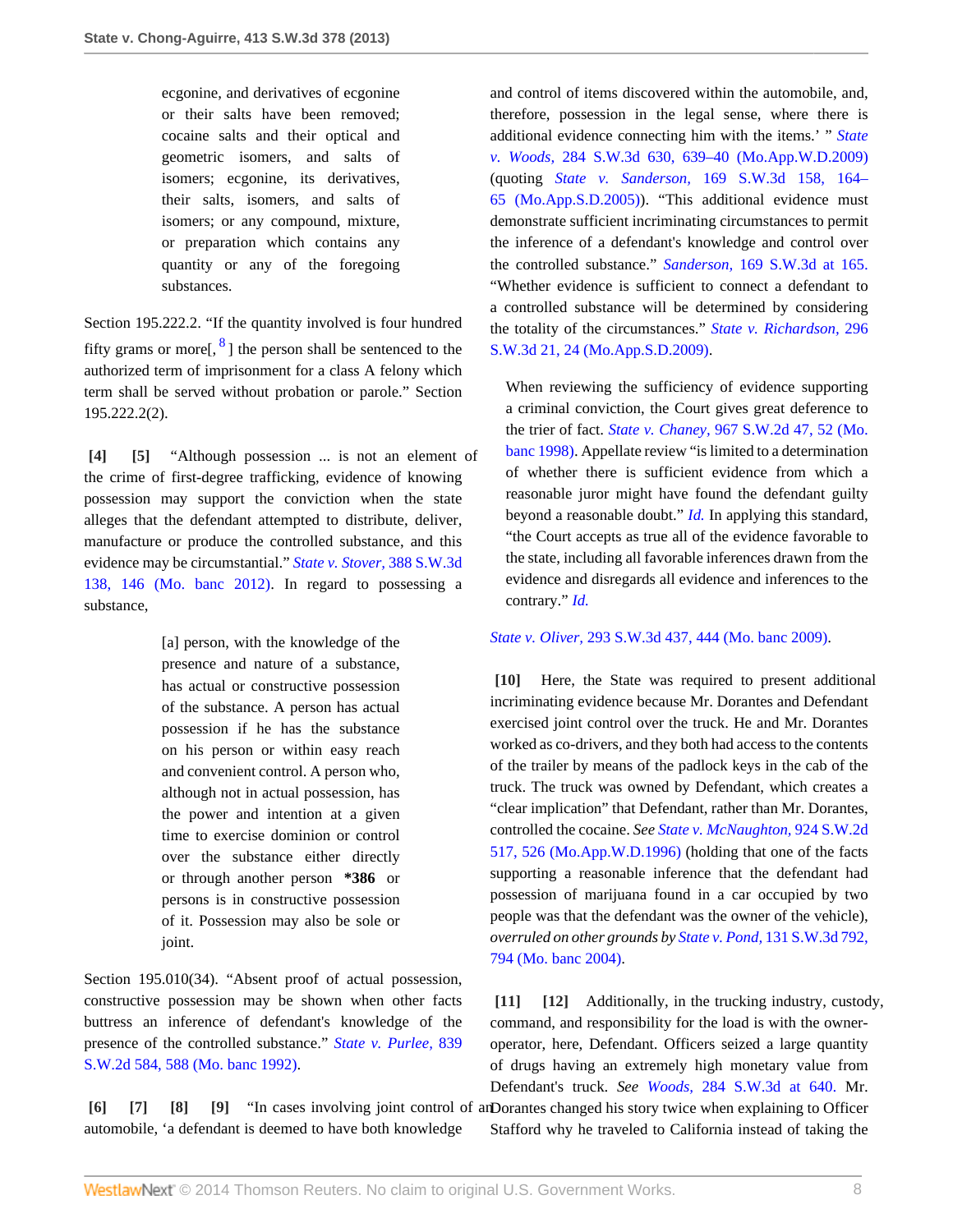ecgonine, and derivatives of ecgonine or their salts have been removed; cocaine salts and their optical and geometric isomers, and salts of isomers; ecgonine, its derivatives, their salts, isomers, and salts of isomers; or any compound, mixture, or preparation which contains any quantity or any of the foregoing substances.

<span id="page-7-9"></span>Section 195.222.2. "If the quantity involved is four hundred fifty grams or more[,  $\frac{8}{3}$  $\frac{8}{3}$  $\frac{8}{3}$ ] the person shall be sentenced to the authorized term of imprisonment for a class A felony which term shall be served without probation or parole." Section 195.222.2(2).

<span id="page-7-1"></span><span id="page-7-0"></span>**[\[4\]](#page-0-3) [\[5](#page-0-4)]** "Although possession ... is not an element of the crime of first-degree trafficking, evidence of knowing possession may support the conviction when the state alleges that the defendant attempted to distribute, deliver, manufacture or produce the controlled substance, and this evidence may be circumstantial." *[State v. Stover,](http://www.westlaw.com/Link/Document/FullText?findType=Y&serNum=2028704537&pubNum=4644&fi=co_pp_sp_4644_146&originationContext=document&vr=3.0&rs=cblt1.0&transitionType=DocumentItem&contextData=(sc.Search)#co_pp_sp_4644_146)* 388 S.W.3d [138, 146 \(Mo. banc 2012\).](http://www.westlaw.com/Link/Document/FullText?findType=Y&serNum=2028704537&pubNum=4644&fi=co_pp_sp_4644_146&originationContext=document&vr=3.0&rs=cblt1.0&transitionType=DocumentItem&contextData=(sc.Search)#co_pp_sp_4644_146) In regard to possessing a substance,

> [a] person, with the knowledge of the presence and nature of a substance, has actual or constructive possession of the substance. A person has actual possession if he has the substance on his person or within easy reach and convenient control. A person who, although not in actual possession, has the power and intention at a given time to exercise dominion or control over the substance either directly or through another person **\*386** or persons is in constructive possession of it. Possession may also be sole or joint.

Section 195.010(34). "Absent proof of actual possession, constructive possession may be shown when other facts buttress an inference of defendant's knowledge of the presence of the controlled substance." *[State v. Purlee,](http://www.westlaw.com/Link/Document/FullText?findType=Y&serNum=1992186344&pubNum=713&fi=co_pp_sp_713_588&originationContext=document&vr=3.0&rs=cblt1.0&transitionType=DocumentItem&contextData=(sc.Search)#co_pp_sp_713_588)* 839 [S.W.2d 584, 588 \(Mo. banc 1992\).](http://www.westlaw.com/Link/Document/FullText?findType=Y&serNum=1992186344&pubNum=713&fi=co_pp_sp_713_588&originationContext=document&vr=3.0&rs=cblt1.0&transitionType=DocumentItem&contextData=(sc.Search)#co_pp_sp_713_588)

<span id="page-7-5"></span><span id="page-7-4"></span><span id="page-7-3"></span><span id="page-7-2"></span>**[\[6\]](#page-1-1) [\[7\]](#page-1-2) [\[8\]](#page-1-3) [\[9](#page-1-4)]** "In cases involving joint control of an Dorantes changed his story twice when explaining to Officer automobile, 'a defendant is deemed to have both knowledge

and control of items discovered within the automobile, and, therefore, possession in the legal sense, where there is additional evidence connecting him with the items.' " *[State](http://www.westlaw.com/Link/Document/FullText?findType=Y&serNum=2018295601&pubNum=4644&fi=co_pp_sp_4644_639&originationContext=document&vr=3.0&rs=cblt1.0&transitionType=DocumentItem&contextData=(sc.Search)#co_pp_sp_4644_639) v. Woods,* [284 S.W.3d 630, 639–40 \(Mo.App.W.D.2009\)](http://www.westlaw.com/Link/Document/FullText?findType=Y&serNum=2018295601&pubNum=4644&fi=co_pp_sp_4644_639&originationContext=document&vr=3.0&rs=cblt1.0&transitionType=DocumentItem&contextData=(sc.Search)#co_pp_sp_4644_639) (quoting *State v. Sanderson,* [169 S.W.3d 158, 164–](http://www.westlaw.com/Link/Document/FullText?findType=Y&serNum=2007113825&pubNum=4644&fi=co_pp_sp_4644_164&originationContext=document&vr=3.0&rs=cblt1.0&transitionType=DocumentItem&contextData=(sc.Search)#co_pp_sp_4644_164) [65 \(Mo.App.S.D.2005\)](http://www.westlaw.com/Link/Document/FullText?findType=Y&serNum=2007113825&pubNum=4644&fi=co_pp_sp_4644_164&originationContext=document&vr=3.0&rs=cblt1.0&transitionType=DocumentItem&contextData=(sc.Search)#co_pp_sp_4644_164)). "This additional evidence must demonstrate sufficient incriminating circumstances to permit the inference of a defendant's knowledge and control over the controlled substance." *Sanderson,* [169 S.W.3d at 165.](http://www.westlaw.com/Link/Document/FullText?findType=Y&serNum=2007113825&pubNum=4644&fi=co_pp_sp_4644_165&originationContext=document&vr=3.0&rs=cblt1.0&transitionType=DocumentItem&contextData=(sc.Search)#co_pp_sp_4644_165) "Whether evidence is sufficient to connect a defendant to a controlled substance will be determined by considering the totality of the circumstances." *[State v. Richardson,](http://www.westlaw.com/Link/Document/FullText?findType=Y&serNum=2020192908&pubNum=4644&fi=co_pp_sp_4644_24&originationContext=document&vr=3.0&rs=cblt1.0&transitionType=DocumentItem&contextData=(sc.Search)#co_pp_sp_4644_24)* 296 [S.W.3d 21, 24 \(Mo.App.S.D.2009\).](http://www.westlaw.com/Link/Document/FullText?findType=Y&serNum=2020192908&pubNum=4644&fi=co_pp_sp_4644_24&originationContext=document&vr=3.0&rs=cblt1.0&transitionType=DocumentItem&contextData=(sc.Search)#co_pp_sp_4644_24)

When reviewing the sufficiency of evidence supporting a criminal conviction, the Court gives great deference to the trier of fact. *State v. Chaney,* [967 S.W.2d 47, 52 \(Mo.](http://www.westlaw.com/Link/Document/FullText?findType=Y&serNum=1998077058&pubNum=713&fi=co_pp_sp_713_52&originationContext=document&vr=3.0&rs=cblt1.0&transitionType=DocumentItem&contextData=(sc.Search)#co_pp_sp_713_52) [banc 1998\)](http://www.westlaw.com/Link/Document/FullText?findType=Y&serNum=1998077058&pubNum=713&fi=co_pp_sp_713_52&originationContext=document&vr=3.0&rs=cblt1.0&transitionType=DocumentItem&contextData=(sc.Search)#co_pp_sp_713_52). Appellate review "is limited to a determination of whether there is sufficient evidence from which a reasonable juror might have found the defendant guilty beyond a reasonable doubt." *[Id.](http://www.westlaw.com/Link/Document/FullText?findType=Y&serNum=1998077058&originationContext=document&vr=3.0&rs=cblt1.0&transitionType=DocumentItem&contextData=(sc.Search))* In applying this standard, "the Court accepts as true all of the evidence favorable to the state, including all favorable inferences drawn from the evidence and disregards all evidence and inferences to the contrary." *[Id.](http://www.westlaw.com/Link/Document/FullText?findType=Y&serNum=1998077058&originationContext=document&vr=3.0&rs=cblt1.0&transitionType=DocumentItem&contextData=(sc.Search))*

### *State v. Oliver,* [293 S.W.3d 437, 444 \(Mo. banc 2009\).](http://www.westlaw.com/Link/Document/FullText?findType=Y&serNum=2019534563&pubNum=4644&fi=co_pp_sp_4644_444&originationContext=document&vr=3.0&rs=cblt1.0&transitionType=DocumentItem&contextData=(sc.Search)#co_pp_sp_4644_444)

<span id="page-7-6"></span>**[\[10\]](#page-1-0)** Here, the State was required to present additional incriminating evidence because Mr. Dorantes and Defendant exercised joint control over the truck. He and Mr. Dorantes worked as co-drivers, and they both had access to the contents of the trailer by means of the padlock keys in the cab of the truck. The truck was owned by Defendant, which creates a "clear implication" that Defendant, rather than Mr. Dorantes, controlled the cocaine. *See [State v. McNaughton,](http://www.westlaw.com/Link/Document/FullText?findType=Y&serNum=1996114383&pubNum=713&fi=co_pp_sp_713_526&originationContext=document&vr=3.0&rs=cblt1.0&transitionType=DocumentItem&contextData=(sc.Search)#co_pp_sp_713_526)* 924 S.W.2d [517, 526 \(Mo.App.W.D.1996\)](http://www.westlaw.com/Link/Document/FullText?findType=Y&serNum=1996114383&pubNum=713&fi=co_pp_sp_713_526&originationContext=document&vr=3.0&rs=cblt1.0&transitionType=DocumentItem&contextData=(sc.Search)#co_pp_sp_713_526) (holding that one of the facts supporting a reasonable inference that the defendant had possession of marijuana found in a car occupied by two people was that the defendant was the owner of the vehicle), *overruled on other grounds by State v. Pond,* [131 S.W.3d 792,](http://www.westlaw.com/Link/Document/FullText?findType=Y&serNum=2004317268&pubNum=4644&fi=co_pp_sp_4644_794&originationContext=document&vr=3.0&rs=cblt1.0&transitionType=DocumentItem&contextData=(sc.Search)#co_pp_sp_4644_794) [794 \(Mo. banc 2004\)](http://www.westlaw.com/Link/Document/FullText?findType=Y&serNum=2004317268&pubNum=4644&fi=co_pp_sp_4644_794&originationContext=document&vr=3.0&rs=cblt1.0&transitionType=DocumentItem&contextData=(sc.Search)#co_pp_sp_4644_794).

<span id="page-7-8"></span><span id="page-7-7"></span>**[\[11\]](#page-1-5) [\[12\]](#page-2-0)** Additionally, in the trucking industry, custody, command, and responsibility for the load is with the owneroperator, here, Defendant. Officers seized a large quantity of drugs having an extremely high monetary value from Defendant's truck. *See Woods,* [284 S.W.3d at 640.](http://www.westlaw.com/Link/Document/FullText?findType=Y&serNum=2018295601&pubNum=4644&fi=co_pp_sp_4644_640&originationContext=document&vr=3.0&rs=cblt1.0&transitionType=DocumentItem&contextData=(sc.Search)#co_pp_sp_4644_640) Mr. Stafford why he traveled to California instead of taking the